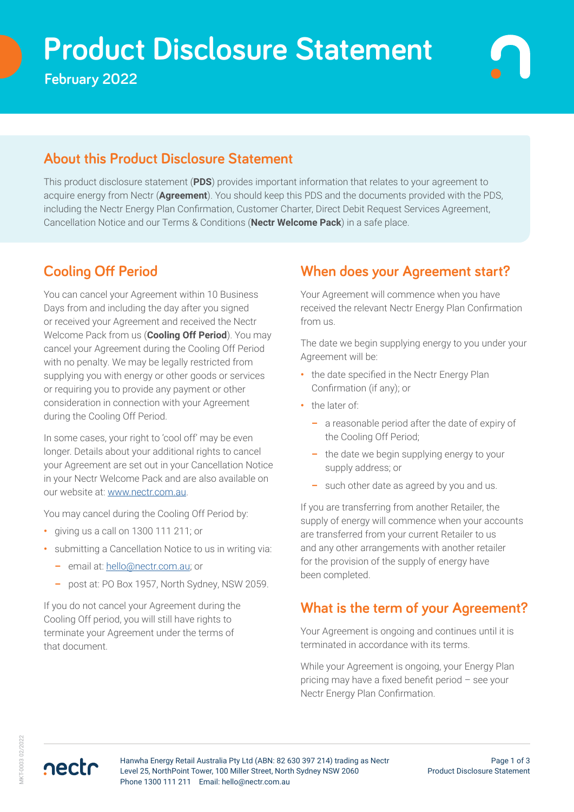# **Prod Product Disclosure Statement**

**February 2022** 

#### **About this Product Disclosure Statement**

This product disclosure statement (**PDS**) provides important information that relates to your agreement to acquire energy from Nectr (**Agreement**). You should keep this PDS and the documents provided with the PDS, including the Nectr Energy Plan Confirmation, Customer Charter, Direct Debit Request Services Agreement, Cancellation Notice and our Terms & Conditions (**Nectr Welcome Pack**) in a safe place.

## **Cooling Off Period**

You can cancel your Agreement within 10 Business Days from and including the day after you signed or received your Agreement and received the Nectr Welcome Pack from us (**Cooling Off Period**). You may cancel your Agreement during the Cooling Off Period with no penalty. We may be legally restricted from supplying you with energy or other goods or services or requiring you to provide any payment or other consideration in connection with your Agreement during the Cooling Off Period.

In some cases, your right to 'cool off' may be even longer. Details about your additional rights to cancel your Agreement are set out in your Cancellation Notice in your Nectr Welcome Pack and are also available on our website at: [www.nectr.com.au](https://nectr.com.au/).

You may cancel during the Cooling Off Period by:

- **•** giving us a call on 1300 111 211; or
- **•** submitting a Cancellation Notice to us in writing via:
	- **–** email at: [hello@nectr.com.au](mailto:hello%40nectr.com.au?subject=); or
	- **–** post at: PO Box 1957, North Sydney, NSW 2059.

If you do not cancel your Agreement during the Cooling Off period, you will still have rights to terminate your Agreement under the terms of that document.

## **When does your Agreement start?**

Your Agreement will commence when you have received the relevant Nectr Energy Plan Confirmation from us.

The date we begin supplying energy to you under your Agreement will be:

- **•** the date specified in the Nectr Energy Plan Confirmation (if any); or
- **•** the later of:
	- **–** a reasonable period after the date of expiry of the Cooling Off Period;
	- **–** the date we begin supplying energy to your supply address; or
	- **–** such other date as agreed by you and us.

If you are transferring from another Retailer, the supply of energy will commence when your accounts are transferred from your current Retailer to us and any other arrangements with another retailer for the provision of the supply of energy have been completed.

## **What is the term of your Agreement?**

Your Agreement is ongoing and continues until it is terminated in accordance with its terms.

While your Agreement is ongoing, your Energy Plan pricing may have a fixed benefit period – see your Nectr Energy Plan Confirmation.

nectr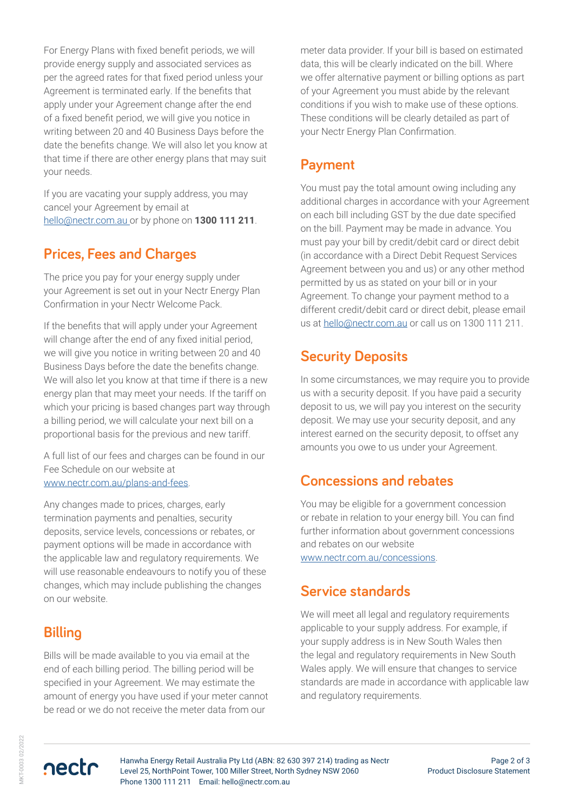For Energy Plans with fixed benefit periods, we will provide energy supply and associated services as per the agreed rates for that fixed period unless your Agreement is terminated early. If the benefits that apply under your Agreement change after the end of a fixed benefit period, we will give you notice in writing between 20 and 40 Business Days before the date the benefits change. We will also let you know at that time if there are other energy plans that may suit your needs.

If you are vacating your supply address, you may cancel your Agreement by email at [hello@nectr.com.au o](mailto:hello%40nectr.com.au%20?subject=)r by phone on **1300 111 211**.

## **Prices, Fees and Charges**

The price you pay for your energy supply under your Agreement is set out in your Nectr Energy Plan Confirmation in your Nectr Welcome Pack.

If the benefits that will apply under your Agreement will change after the end of any fixed initial period, we will give you notice in writing between 20 and 40 Business Days before the date the benefits change. We will also let you know at that time if there is a new energy plan that may meet your needs. If the tariff on which your pricing is based changes part way through a billing period, we will calculate your next bill on a proportional basis for the previous and new tariff.

A full list of our fees and charges can be found in our Fee Schedule on our website at [www.nectr.com.au/plans-and-fees](https://www.nectr.com.au/plans-and-fees).

Any changes made to prices, charges, early termination payments and penalties, security deposits, service levels, concessions or rebates, or payment options will be made in accordance with the applicable law and regulatory requirements. We will use reasonable endeavours to notify you of these changes, which may include publishing the changes on our website.

## **Billing**

Bills will be made available to you via email at the end of each billing period. The billing period will be specified in your Agreement. We may estimate the amount of energy you have used if your meter cannot be read or we do not receive the meter data from our

meter data provider. If your bill is based on estimated data, this will be clearly indicated on the bill. Where we offer alternative payment or billing options as part of your Agreement you must abide by the relevant conditions if you wish to make use of these options. These conditions will be clearly detailed as part of your Nectr Energy Plan Confirmation.

#### **Payment**

You must pay the total amount owing including any additional charges in accordance with your Agreement on each bill including GST by the due date specified on the bill. Payment may be made in advance. You must pay your bill by credit/debit card or direct debit (in accordance with a Direct Debit Request Services Agreement between you and us) or any other method permitted by us as stated on your bill or in your Agreement. To change your payment method to a different credit/debit card or direct debit, please email us at [hello@nectr.com.au](mailto:hello%40nectr.com.au?subject=) or call us on 1300 111 211.

## **Security Deposits**

In some circumstances, we may require you to provide us with a security deposit. If you have paid a security deposit to us, we will pay you interest on the security deposit. We may use your security deposit, and any interest earned on the security deposit, to offset any amounts you owe to us under your Agreement.

## **Concessions and rebates**

You may be eligible for a government concession or rebate in relation to your energy bill. You can find further information about government concessions and rebates on our website [www.nectr.com.au/concessions.](https://www.nectr.com.au/concessions)

#### **Service standards**

We will meet all legal and regulatory requirements applicable to your supply address. For example, if your supply address is in New South Wales then the legal and regulatory requirements in New South Wales apply. We will ensure that changes to service standards are made in accordance with applicable law and regulatory requirements.